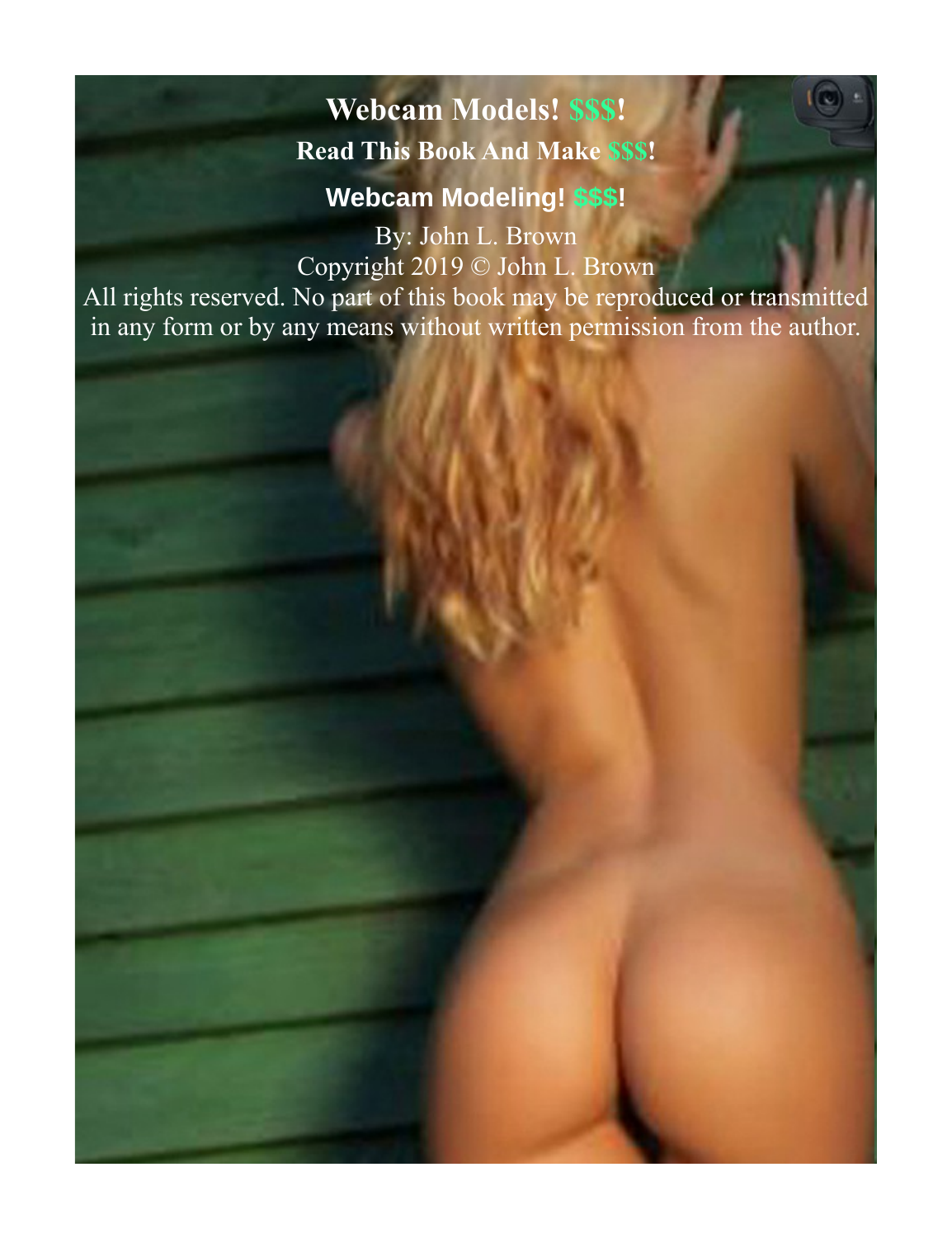# <span id="page-0-0"></span>**Webcam Models! \$\$\$! Read This Book And Make \$\$\$!**

**Webcam Modeling! \$\$\$!**

By: John L. Brown Copyright 2019 © John L. Brown

All rights reserved. No part of this book may be reproduced or transmitted in any form or by any means without written permission from the author.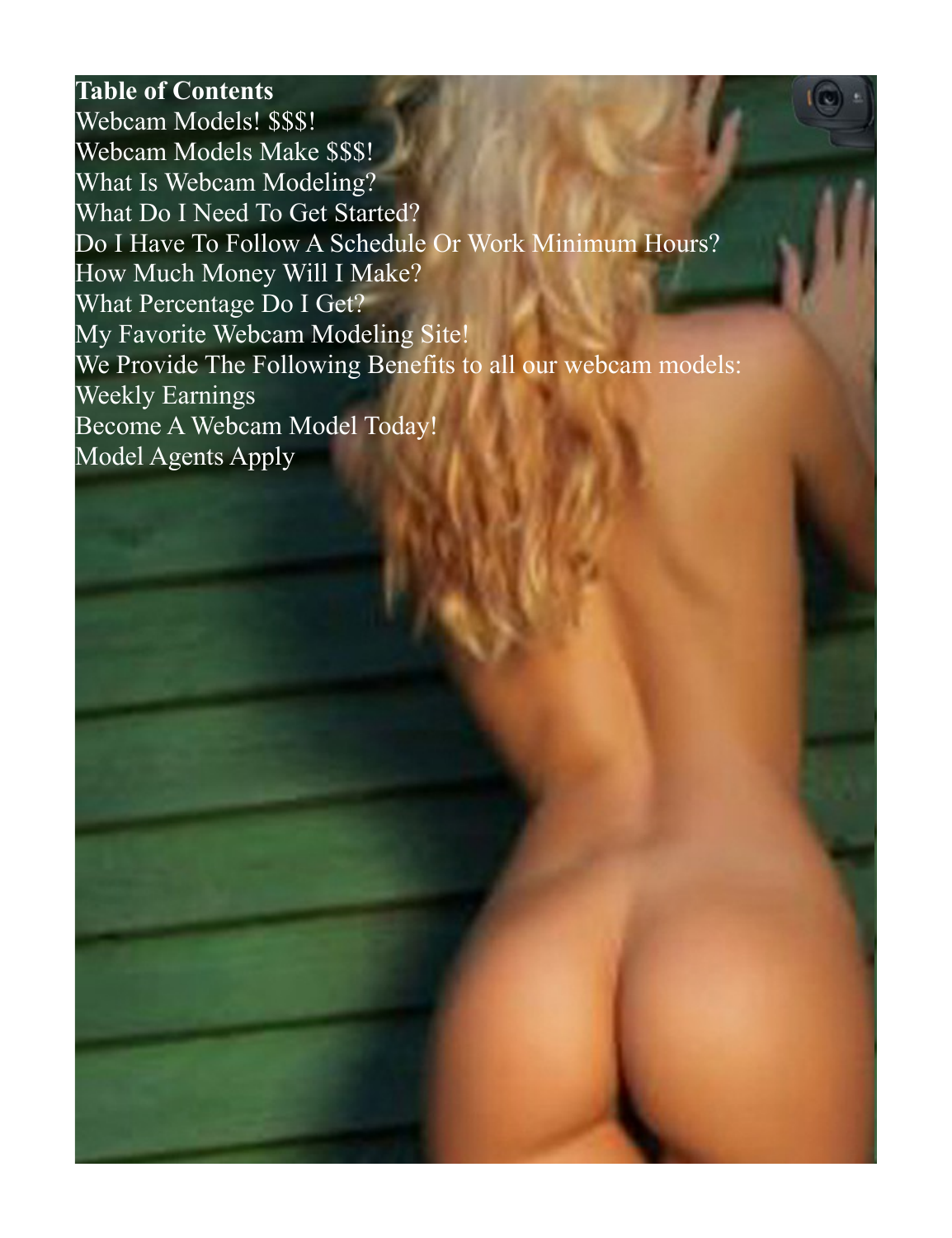#### **Table of Contents**

[Webcam Models! \\$\\$\\$!](#page-0-0) [Webcam Models Make \\$\\$\\$!](#page-2-0) [What Is Webcam Modeling?](#page-4-0) [What Do I Need To Get Started?](#page-5-0) [Do I Have To Follow A Schedule Or Work Minimum Hours?](#page-6-0) [How Much Money Will I Make?](#page-7-0) [What Percentage Do I Get?](#page-8-0) [My Favorite Webcam Modeling Site!](#page-9-0) [We Provide The Following Benefits to all our webcam models:](#page-10-0) [Weekly Earnings](#page-11-0) [Become A Webcam Model Today!](#page-12-0) [Model Agents Apply](#page-13-0)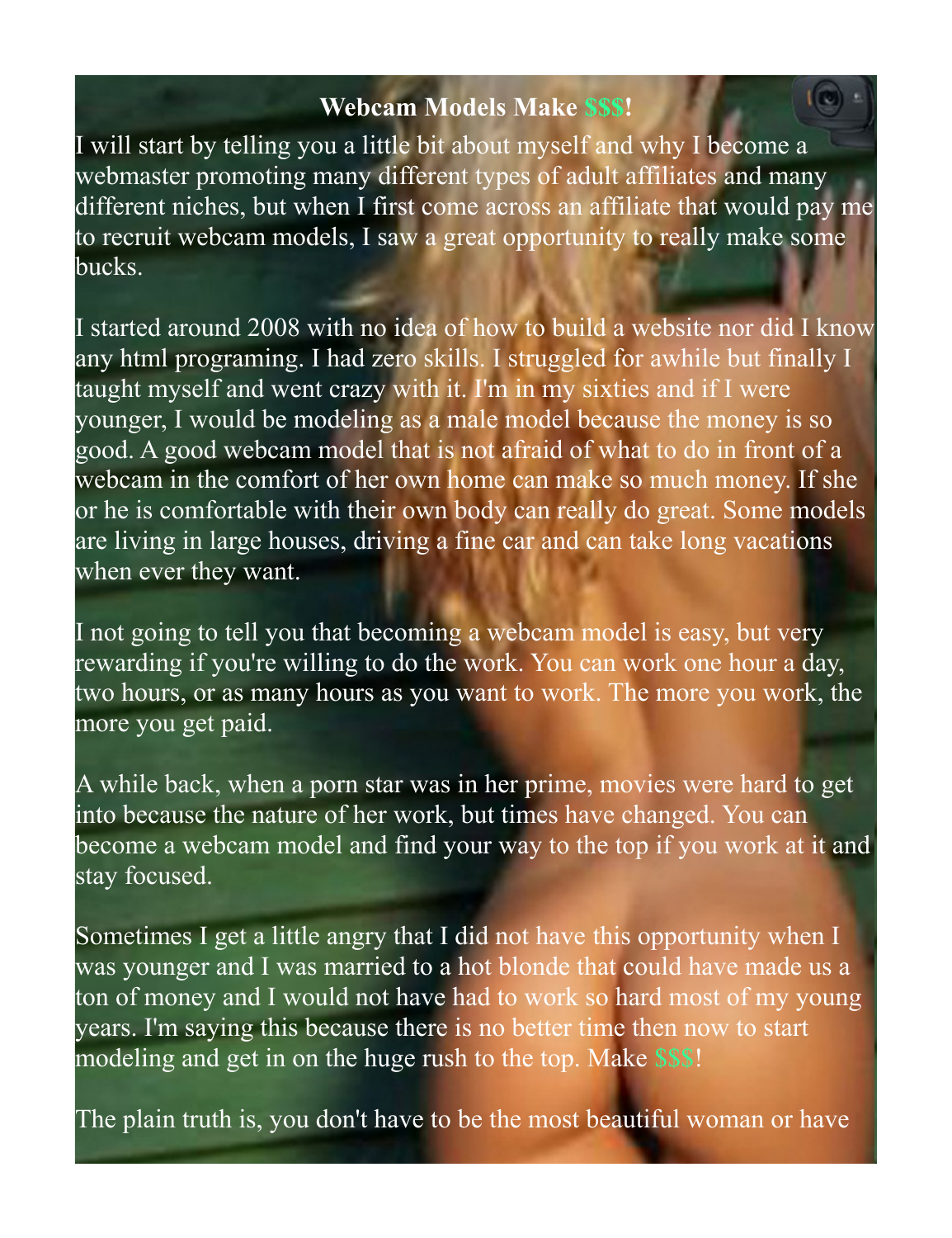#### <span id="page-2-0"></span>**Webcam Models Make \$\$\$!**

I will start by telling you a little bit about myself and why I become a webmaster promoting many different types of adult affiliates and many different niches, but when I first come across an affiliate that would pay me to recruit webcam models, I saw a great opportunity to really make some bucks.

I started around 2008 with no idea of how to build a website nor did I know any html programing. I had zero skills. I struggled for awhile but finally I taught myself and went crazy with it. I'm in my sixties and if I were younger, I would be modeling as a male model because the money is so good. A good webcam model that is not afraid of what to do in front of a webcam in the comfort of her own home can make so much money. If she or he is comfortable with their own body can really do great. Some models are living in large houses, driving a fine car and can take long vacations when ever they want.

I not going to tell you that becoming a webcam model is easy, but very rewarding if you're willing to do the work. You can work one hour a day, two hours, or as many hours as you want to work. The more you work, the more you get paid.

A while back, when a porn star was in her prime, movies were hard to get into because the nature of her work, but times have changed. You can become a webcam model and find your way to the top if you work at it and stay focused.

Sometimes I get a little angry that I did not have this opportunity when I was younger and I was married to a hot blonde that could have made us a ton of money and I would not have had to work so hard most of my young years. I'm saying this because there is no better time then now to start modeling and get in on the huge rush to the top. Make \$\$\$!

The plain truth is, you don't have to be the most beautiful woman or have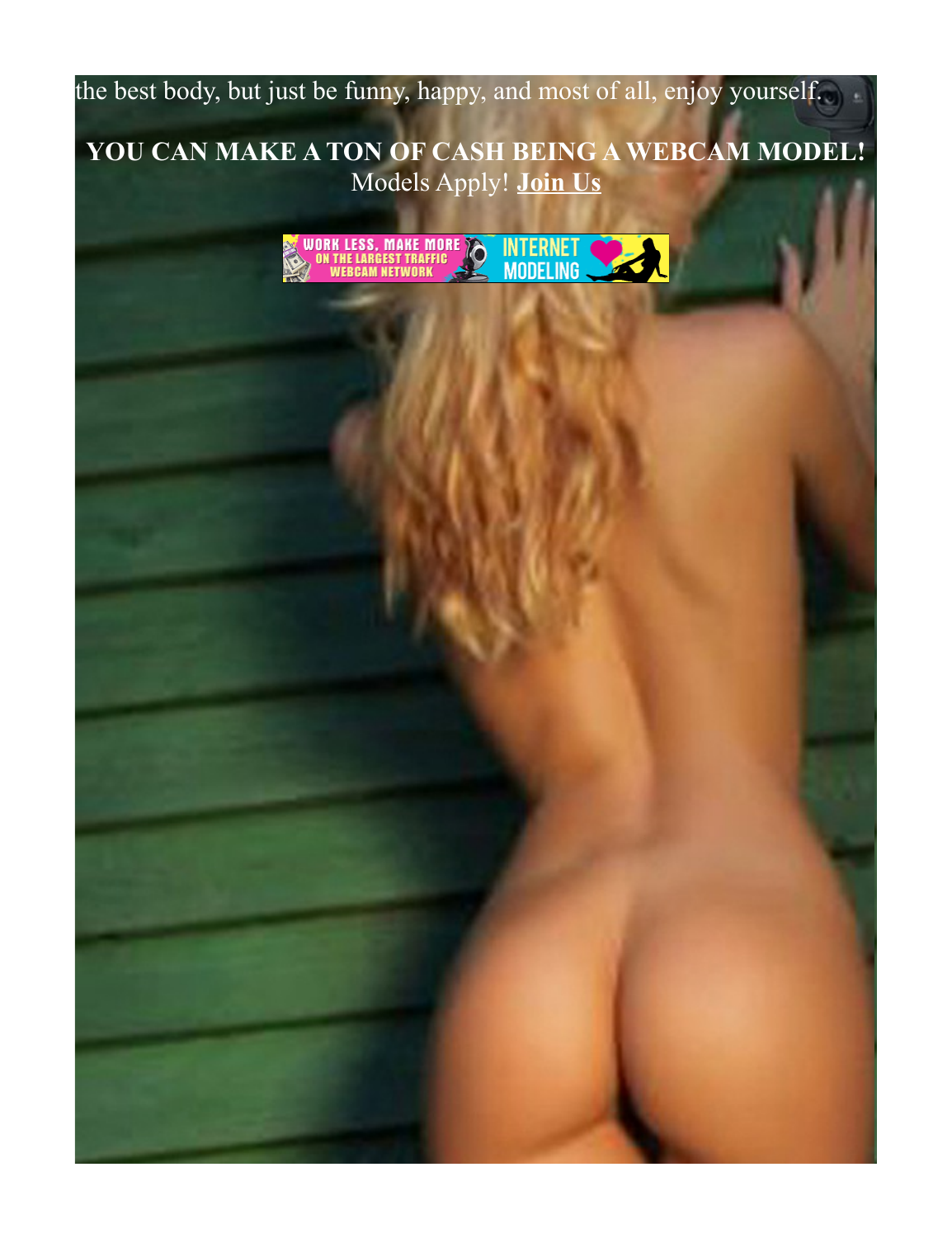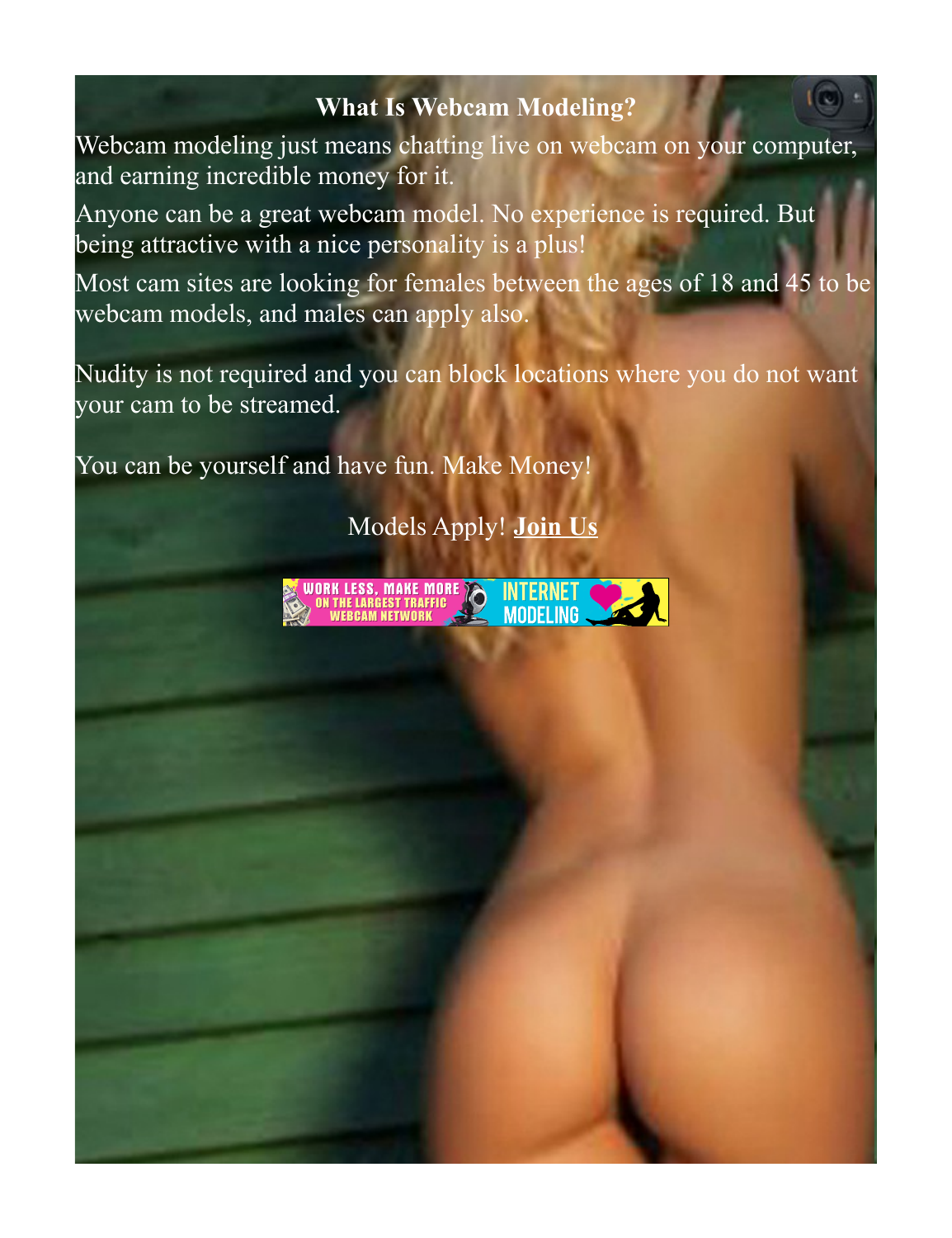#### <span id="page-4-0"></span>**What Is Webcam Modeling?**

Webcam modeling just means chatting live on webcam on your computer, and earning incredible money for it.

Anyone can be a great webcam model. No experience is required. But being attractive with a nice personality is a plus!

Most cam sites are looking for females between the ages of 18 and 45 to be webcam models, and males can apply also.

Nudity is not required and you can block locations where you do not want your cam to be streamed.

You can be yourself and have fun. Make Money!

Models Apply! **[Join Us](https://www.internetmodeling.com/144)**

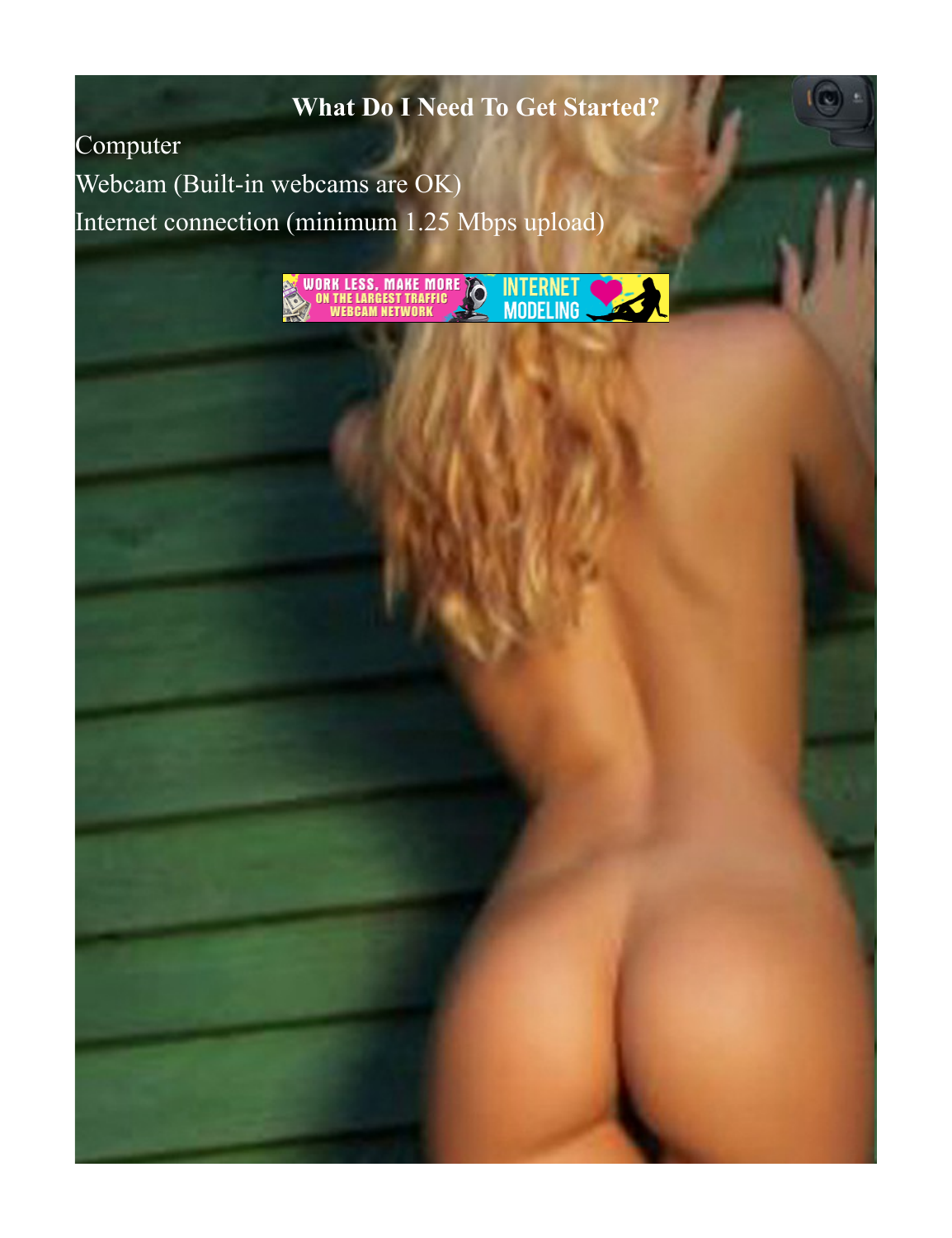# <span id="page-5-0"></span>**What Do I Need To Get Started?**

Computer

Webcam (Built-in webcams are OK) Internet connection (minimum 1.25 Mbps upload)

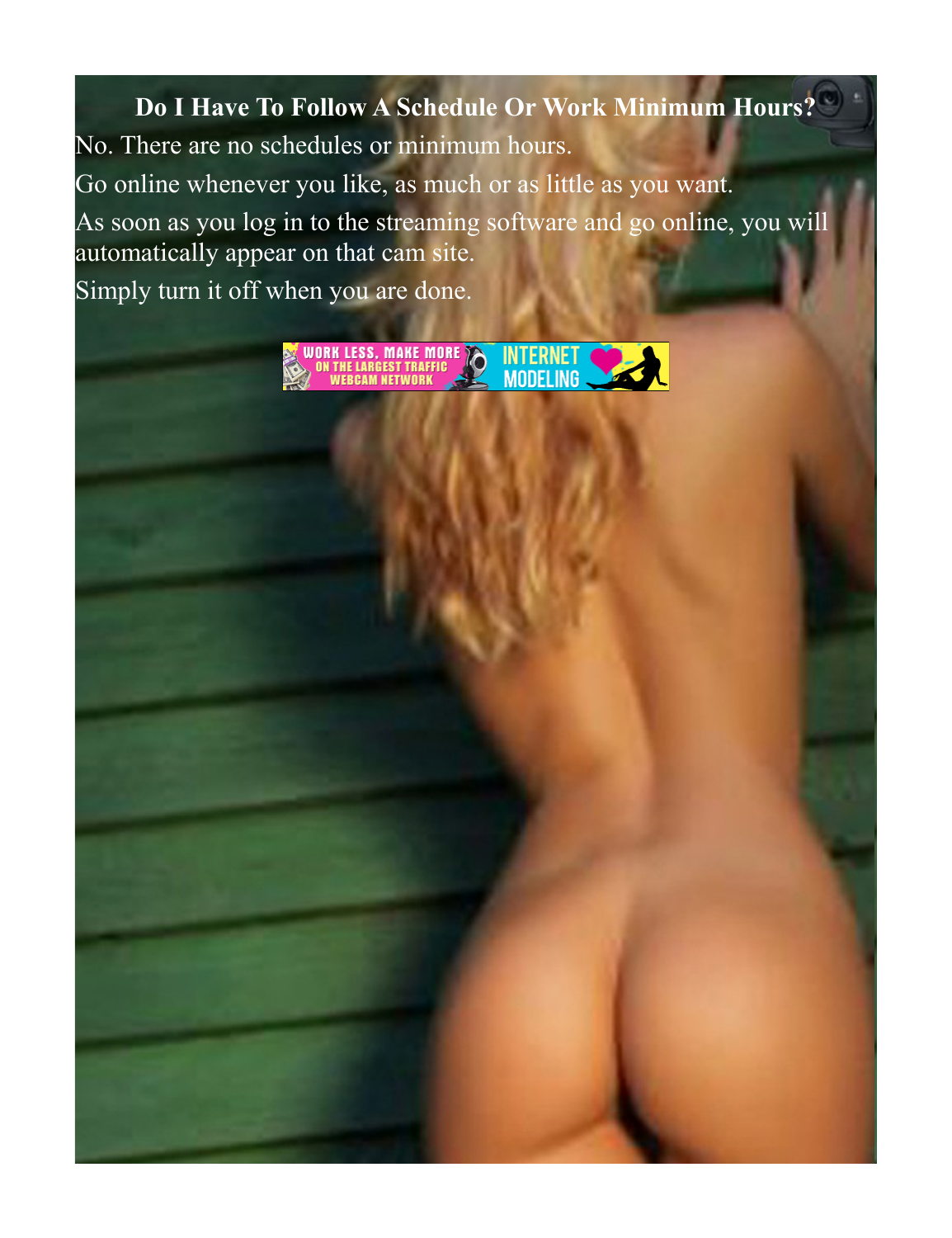<span id="page-6-0"></span>**Do I Have To Follow A Schedule Or Work Minimum Hours?**

No. There are no schedules or minimum hours.

Go online whenever you like, as much or as little as you want.

As soon as you log in to the streaming software and go online, you will automatically appear on that cam site.

Simply turn it off when you are done.

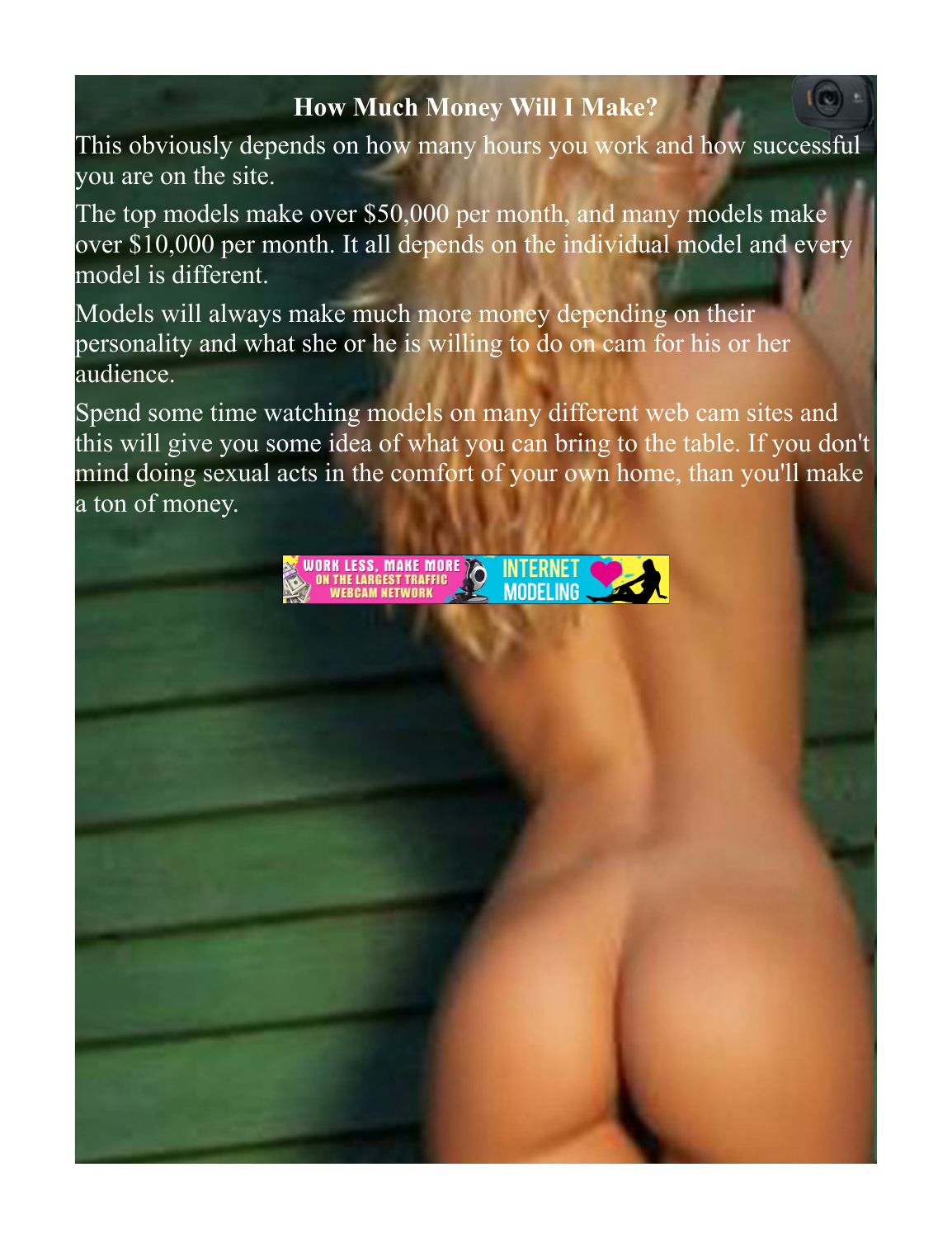# <span id="page-7-0"></span>**How Much Money Will I Make?**

This obviously depends on how many hours you work and how successful you are on the site.

The top models make over \$50,000 per month, and many models make over \$10,000 per month. It all depends on the individual model and every model is different.

Models will always make much more money depending on their personality and what she or he is willing to do on cam for his or her audience.

Spend some time watching models on many different web cam sites and this will give you some idea of what you can bring to the table. If you don't mind doing sexual acts in the comfort of your own home, than you'll make a ton of money.

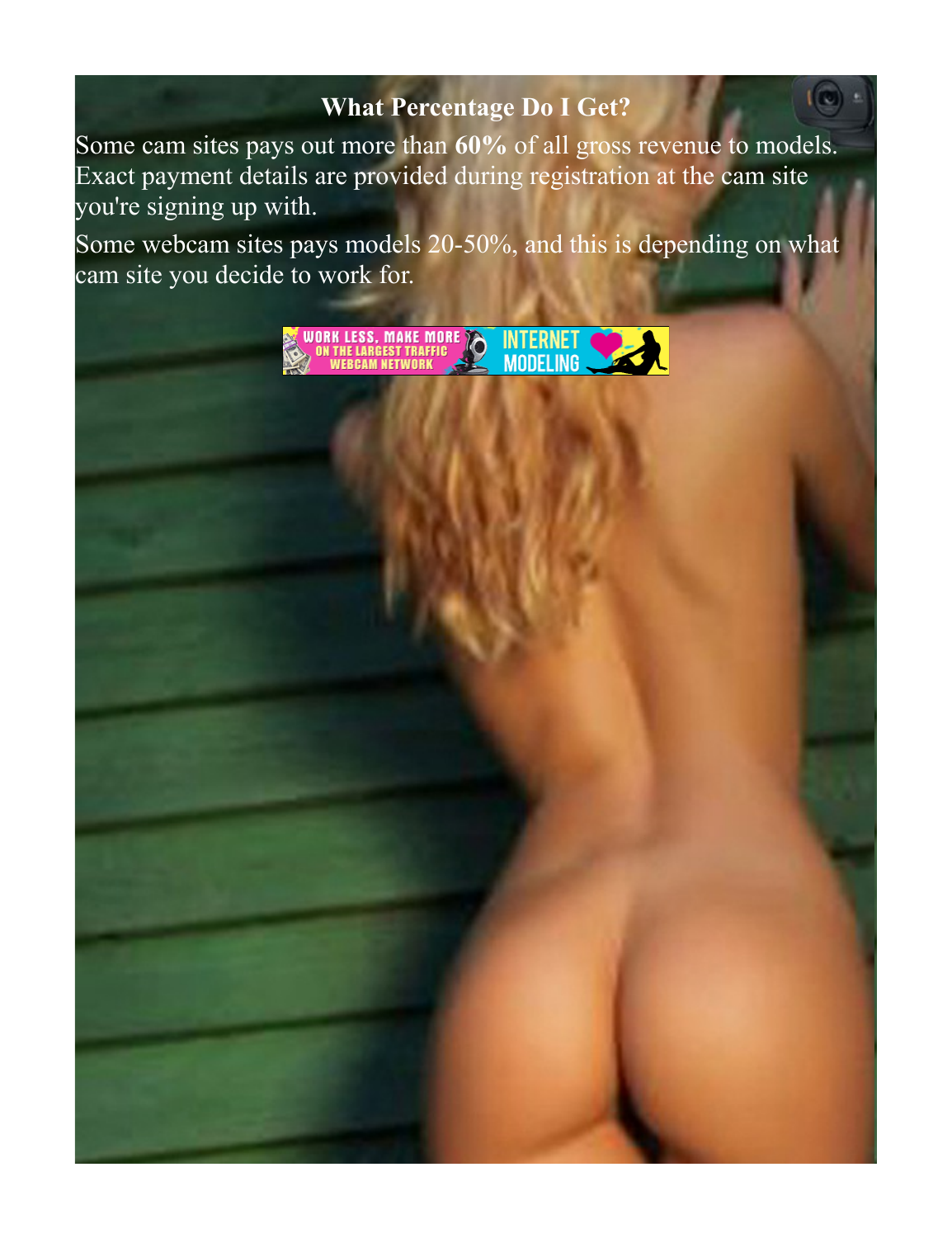### <span id="page-8-0"></span>**What Percentage Do I Get?**

Some cam sites pays out more than **60%** of all gross revenue to models. Exact payment details are provided during registration at the cam site you're signing up with.

Some webcam sites pays models 20-50%, and this is depending on what cam site you decide to work for.

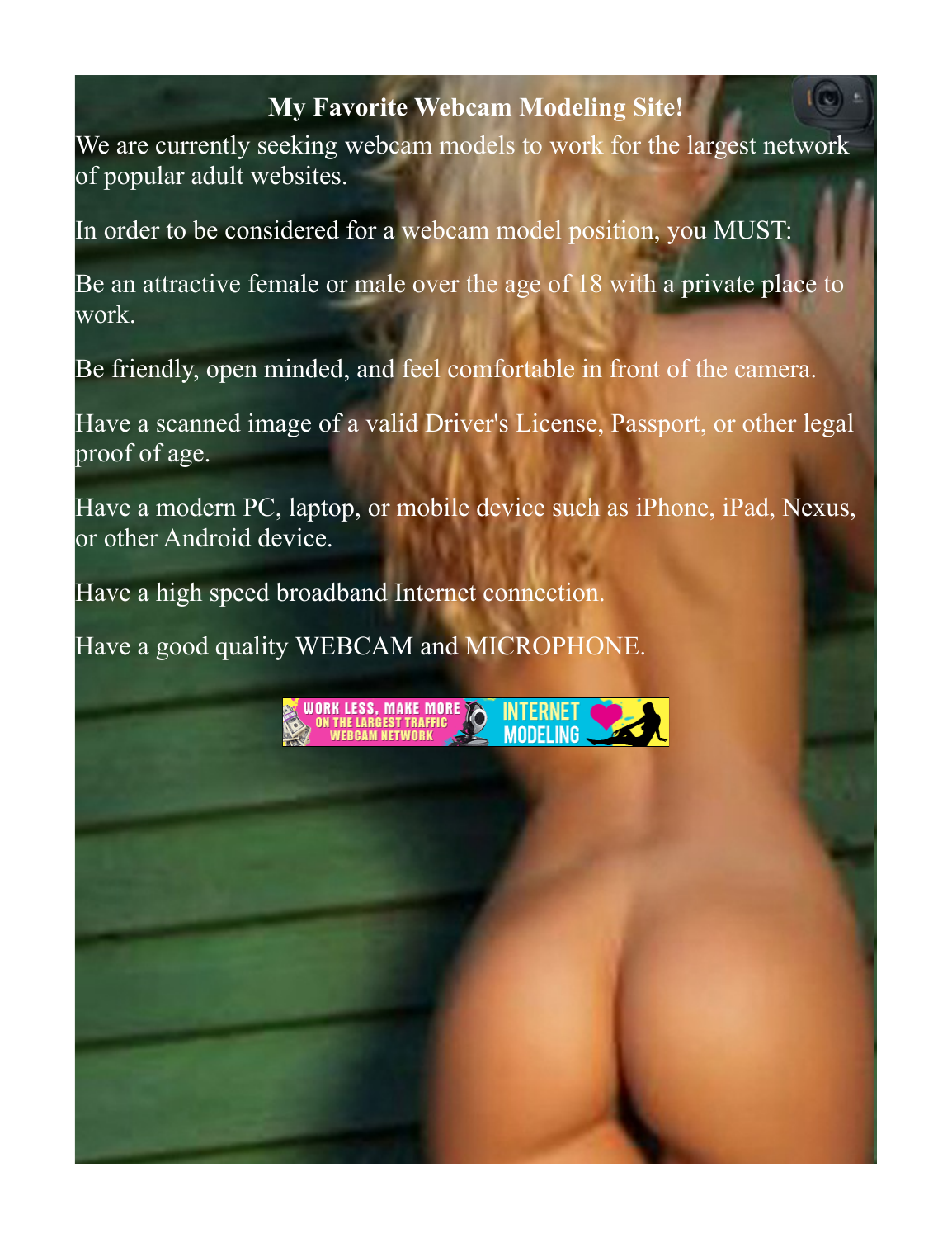#### <span id="page-9-0"></span>**My Favorite Webcam Modeling Site!**

We are currently seeking webcam models to work for the largest network of popular adult websites.

In order to be considered for a webcam model position, you MUST:

Be an attractive female or male over the age of 18 with a private place to work.

Be friendly, open minded, and feel comfortable in front of the camera.

Have a scanned image of a valid Driver's License, Passport, or other legal proof of age.

Have a modern PC, laptop, or mobile device such as iPhone, iPad, Nexus, or other Android device.

Have a high speed broadband Internet connection.

Have a good quality WEBCAM and MICROPHONE.

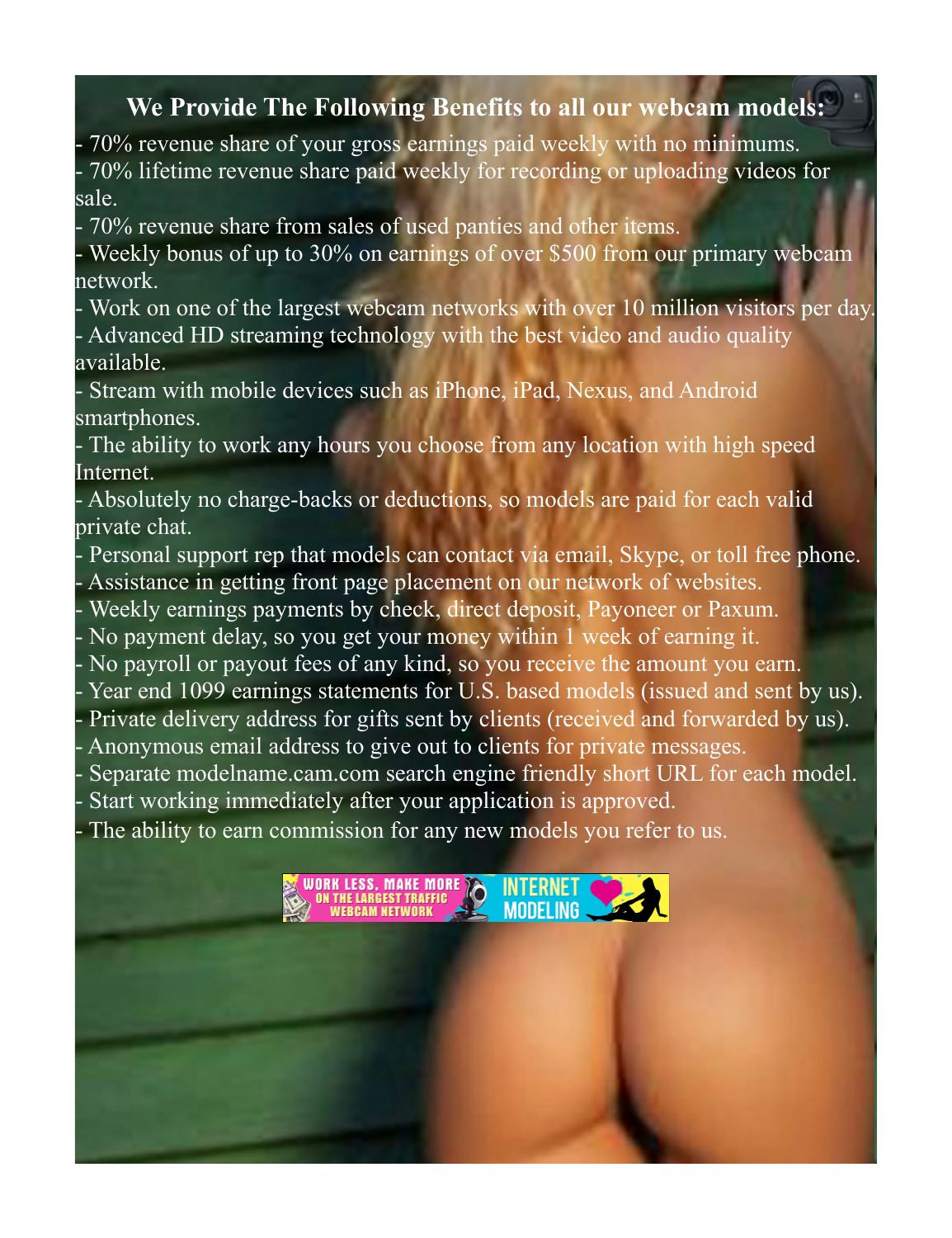#### <span id="page-10-0"></span>**We Provide The Following Benefits to all our webcam models:**

- 70% revenue share of your gross earnings paid weekly with no minimums.

- 70% lifetime revenue share paid weekly for recording or uploading videos for sale.

- 70% revenue share from sales of used panties and other items.

- Weekly bonus of up to 30% on earnings of over \$500 from our primary webcam network.

- Work on one of the largest webcam networks with over 10 million visitors per day.
- Advanced HD streaming technology with the best video and audio quality available.

- Stream with mobile devices such as iPhone, iPad, Nexus, and Android smartphones.

- The ability to work any hours you choose from any location with high speed Internet.

- Absolutely no charge-backs or deductions, so models are paid for each valid private chat.

- Personal support rep that models can contact via email, Skype, or toll free phone.

Assistance in getting front page placement on our network of websites.

Weekly earnings payments by check, direct deposit, Payoneer or Paxum.

- No payment delay, so you get your money within 1 week of earning it.

No payroll or payout fees of any kind, so you receive the amount you earn.

Year end 1099 earnings statements for U.S. based models (issued and sent by us).

Private delivery address for gifts sent by clients (received and forwarded by us).

Anonymous email address to give out to clients for private messages.

Separate modelname.cam.com search engine friendly short URL for each model.

MODELING

Start working immediately after your application is approved.

WORK LESS, MAKE MORE

The ability to earn commission for any new models you refer to us.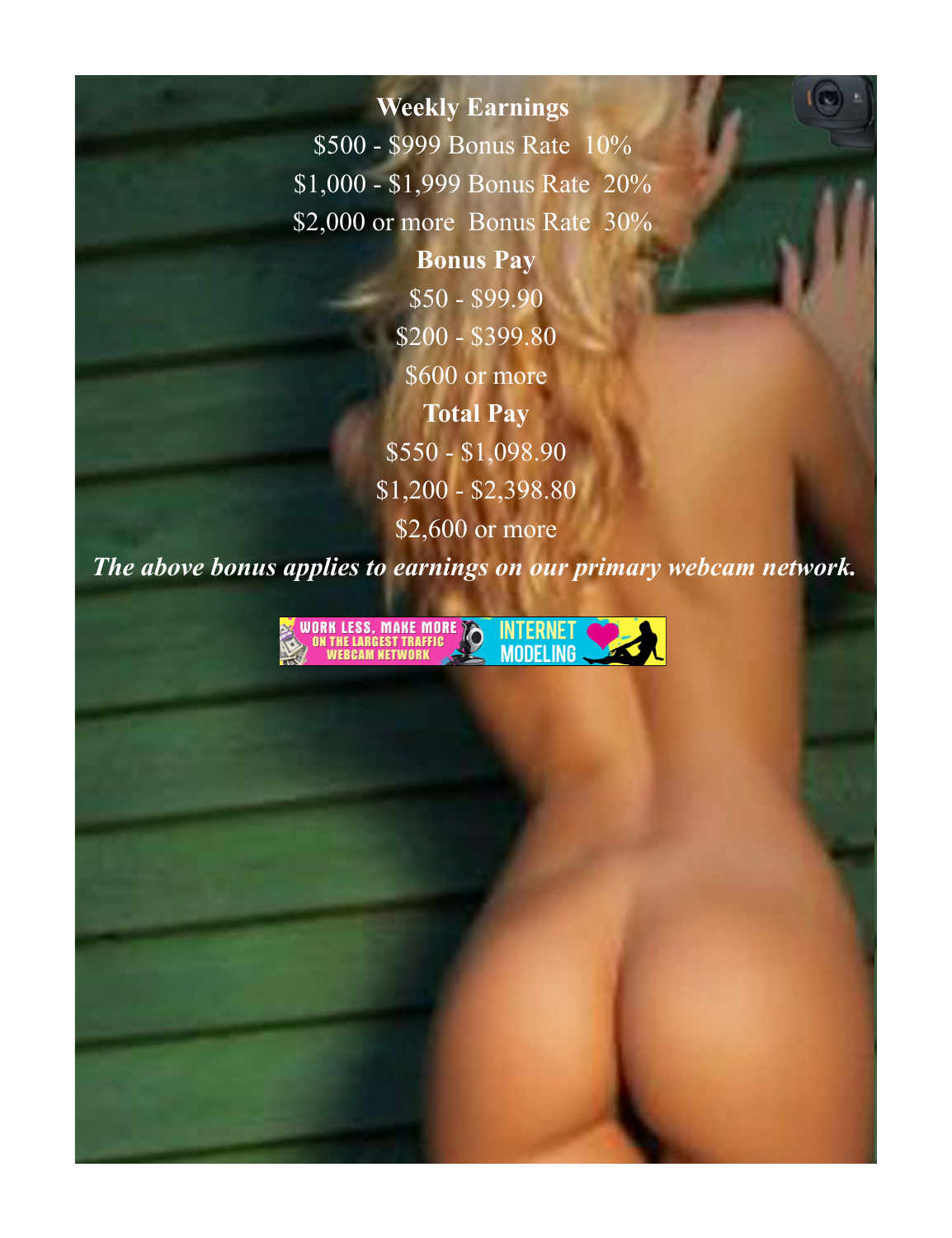<span id="page-11-0"></span>**Weekly Earnings**  \$500 - \$999 Bonus Rate 10% \$1,000 - \$1,999 Bonus Rate 20% \$2,000 or more Bonus Rate 30% **Bonus Pay** \$50 - \$99.90 \$200 - \$399.80 \$600 or more **Total Pay** \$550 - \$1,098.90 \$1,200 - \$2,398.80 \$2,600 or more

*The above bonus applies to earnings on our primary webcam network.*

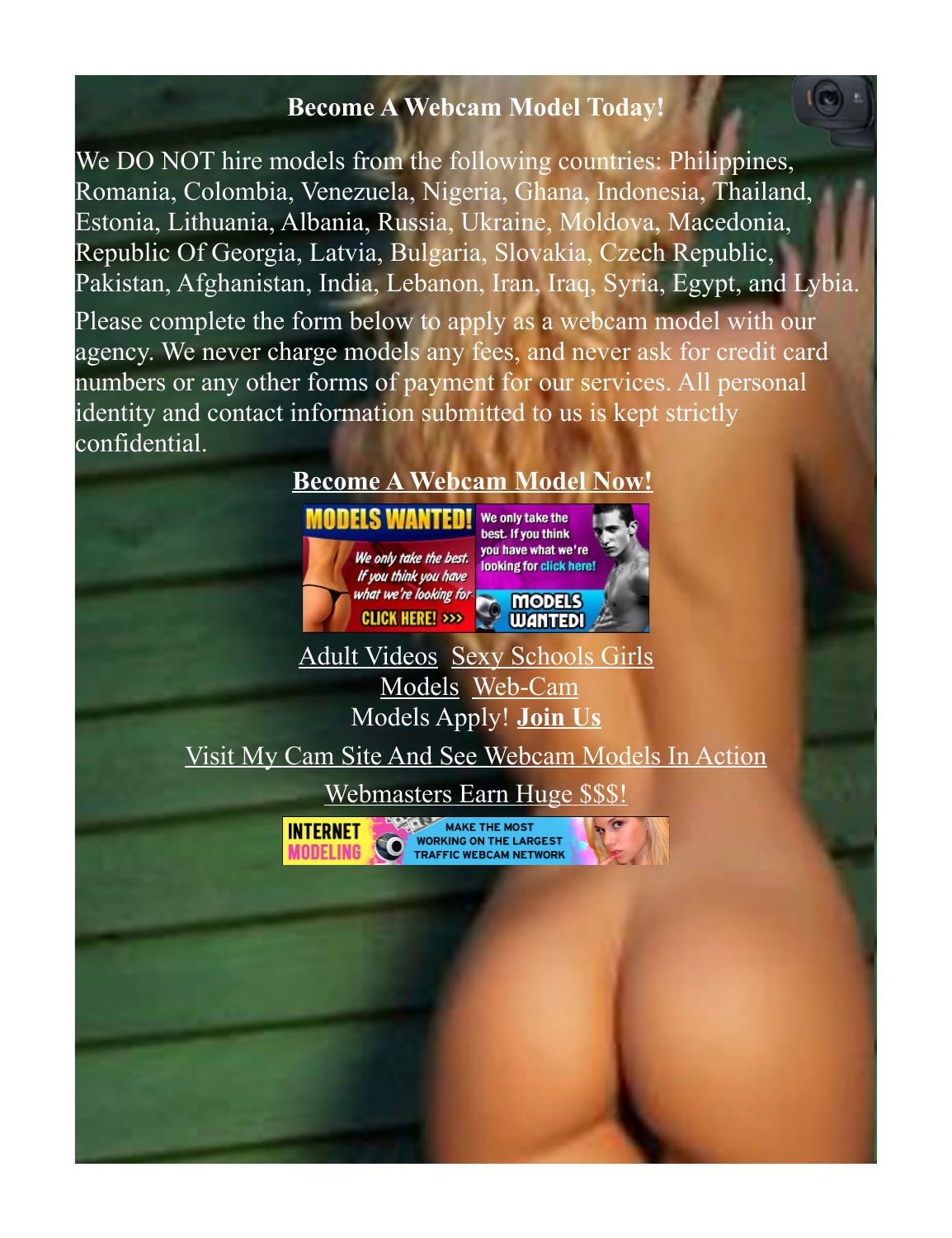#### <span id="page-12-0"></span>**Become A Webcam Model Today!**

We DO NOT hire models from the following countries: Philippines, Romania, Colombia, Venezuela, Nigeria, Ghana, Indonesia, Thailand, Estonia, Lithuania, Albania, Russia, Ukraine, Moldova, Macedonia, Republic Of Georgia, Latvia, Bulgaria, Slovakia, Czech Republic, Pakistan, Afghanistan, India, Lebanon, Iran, Iraq, Syria, Egypt, and Lybia.

Please complete the form below to apply as a webcam model with our agency. We never charge models any fees, and never ask for credit card numbers or any other forms of payment for our services. All personal identity and contact information submitted to us is kept strictly confidential.

# **[Become A Webcam Model Now!](https://www.internetmodeling.com/144)**